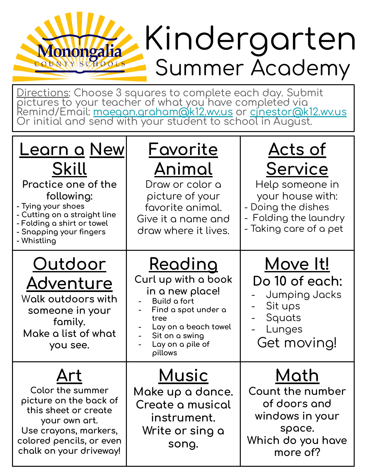#### Kindergarten Monongalia Summer Academy

Directions: Choose 3 squares to complete each day. Submit<br>pictures to your teacher of what you have completed via<br>Remind/Email: <u>maegan.graham@k12.wv.us</u> or <u>cinestor@k12.wv.us</u><br>Or initial and send with your student to sch

| <u>Learn a New</u><br>Skill<br>Practice one of the<br>following:<br>- Tying your shoes<br>- Cutting on a straight line<br>- Folding a shirt or towel<br>- Snapping your fingers<br>- Whistling | <u>Favorite</u><br><u>Animal</u><br>Draw or color a<br>picture of your<br>favorite animal.<br>Give it a name and<br>draw where it lives.                                         | <u>Acts of</u><br>Service<br>Help someone in<br>your house with:<br>- Doing the dishes<br>- Folding the laundry<br>- Taking care of a pet |
|------------------------------------------------------------------------------------------------------------------------------------------------------------------------------------------------|----------------------------------------------------------------------------------------------------------------------------------------------------------------------------------|-------------------------------------------------------------------------------------------------------------------------------------------|
| <u>Outdoor</u><br>Adventure<br>Walk outdoors with<br>someone in your<br>family.<br>Make a list of what<br>you see.                                                                             | <u>Reading</u><br>Curl up with a book<br>in a new place!<br>Build a fort<br>Find a spot under a<br>tree<br>Lay on a beach towel<br>Sit on a swing<br>Lay on a pile of<br>pillows | <u>Move It!</u><br>Do 10 of each:<br>Jumping Jacks<br>Sit ups<br>Squats<br>Lunges<br>Get moving!                                          |
| Color the summer<br>picture on the back of<br>this sheet or create<br>your own art.<br>Use crayons, markers,<br>colored pencils, or even<br>chalk on your driveway!                            | <u>Music</u><br>Make up a dance.<br>Create a musical<br>instrument.<br>Write or sing a<br>song.                                                                                  | Math<br>Count the number<br>of doors and<br>windows in your<br>space.<br>Which do you have<br>more of?                                    |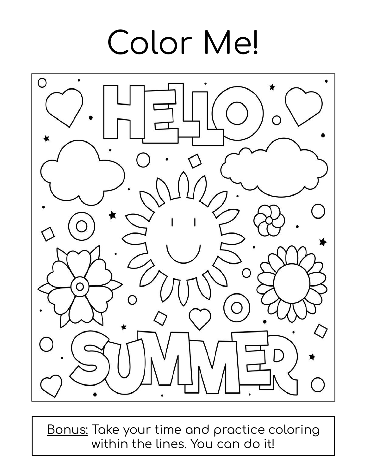# Color Me!



Bonus: Take your time and practice coloring within the lines. You can do it!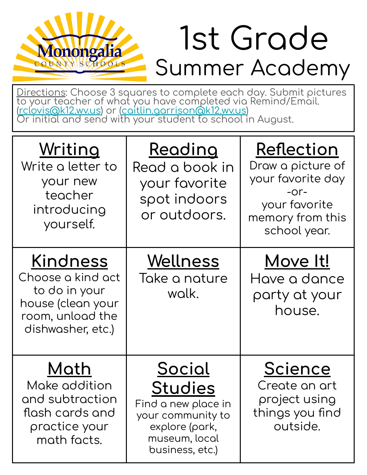#### 1st Grade Summer Academy

Directions: Choose 3 squares to complete each day. Submit pictures<br>to your teacher of what you have completed via Remind/Email.<br>(rclovis@k12.wv.us) or (caitlin.garrison@k12.wv.us)<br>Or initial and send with your student to s

Monongalia

| Writing<br>Write a letter to<br>your new<br>teacher<br>introducing<br>yourself.                                     | <u>Reading</u><br>Read a book in<br>your favorite<br>spot indoors<br>or outdoors.                                                 | Reflection<br>Draw a picture of<br>your favorite day<br>$-0r-$<br>your favorite<br>memory from this<br>school year. |
|---------------------------------------------------------------------------------------------------------------------|-----------------------------------------------------------------------------------------------------------------------------------|---------------------------------------------------------------------------------------------------------------------|
| <u>Kindness</u><br>Choose a kind act<br>to do in your<br>house (clean your<br>room, unload the<br>dishwasher, etc.) | Wellness<br>Take a nature<br>walk.                                                                                                | <u>Move It!</u><br>Have a dance<br>party at your<br>house.                                                          |
| Math<br>Make addition<br>and subtraction<br>flash cards and<br>practice your<br>math facts.                         | <u>Social</u><br><b>Studies</b><br>Find a new place in<br>your community to<br>explore (park,<br>museum, local<br>business, etc.) | <b>Science</b><br>Create an art<br>project using<br>things you find<br>outside.                                     |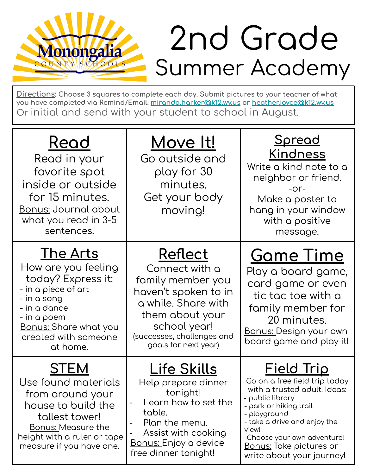## Summer Academy 2nd Grade

**Directions: Choose 3 squares to complete each day. Submit pictures to your teacher oÿ what you have completed via Remind/Email. [miranda.harker@k12.wv.us](mailto:miranda.harker@k12.wv.us) or [heather.joyce@k12.wv.us](mailto:heather.joyce@k12.wv.us)** Or initial and send with your student to school in August.

**Monongalia** 

 $\mathbf{s}/\sigma$ 

 $HOOL$ 

| Read<br>Read in your<br>favorite spot<br>inside or outside<br>for 15 minutes.<br>Bonus: Journal about<br>what you read in 3-5<br>sentences.                                                    | Move It!<br>Go outside and<br>play for 30<br>minutes.<br>Get your body<br>moving!                                                                                                      | <u>Spread</u><br><b>Kindness</b><br>Write a kind note to a<br>neighbor or friend.<br>$-0r-$<br>Make a poster to<br>hang in your window<br>with a positive<br>message.                                                                                                                   |
|------------------------------------------------------------------------------------------------------------------------------------------------------------------------------------------------|----------------------------------------------------------------------------------------------------------------------------------------------------------------------------------------|-----------------------------------------------------------------------------------------------------------------------------------------------------------------------------------------------------------------------------------------------------------------------------------------|
| <u>The Arts</u><br>How are you feeling<br>today? Express it:<br>- in a piece of art<br>- in a song<br>- in a dance<br>- in a poem<br>Bonus: Share what you<br>created with someone<br>at home. | Reflect<br>Connect with a<br>family member you<br>haven't spoken to in<br>a while. Share with<br>them about your<br>school year!<br>(successes, challenges and<br>goals for next year) | <b>Game Time</b><br>Play a board game,<br>card game or even<br>tic tac toe with a<br>family member for<br>20 minutes.<br>Bonus: Design your own<br>board game and play it!                                                                                                              |
| <b>STEM</b><br>Use found materials<br>from around your<br>house to build the<br>tallest tower!<br><u>Bonus: Measure the</u><br>height with a ruler or tape<br>measure if you have one.         | Life Skills<br>Help prepare dinner<br>tonight!<br>Learn how to set the<br>table.<br>Plan the menu.<br>Assist with cooking<br><u>Bonus: Enjoy a device</u><br>free dinner tonight!      | <u>Field Trip</u><br>Go on a free field trip today<br>with a trusted adult. Ideas:<br>- public library<br>- park or hiking trail<br>- playground<br>- take a drive and enjoy the<br>view!<br>-Choose your own adventure!<br><u>Bonus:</u> Take pictures or<br>write about your journey! |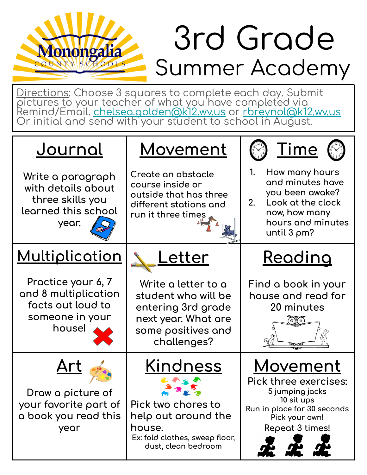## Summer Academy 3rd Grade

Directions: Choose 3 squares to complete each day. Submit pictures to your teacher of what you have completed via <u>Remind/Email. chelsea.golden@k12.wv.us</u> or <u>rbreynol@k12.wv.us</u> Or initial and send with your student to school in August.

**Monongalia** 

| <u>Journal</u>                                                                               | <b>Movement</b>                                                                                                                 |                                                                                                                                               |
|----------------------------------------------------------------------------------------------|---------------------------------------------------------------------------------------------------------------------------------|-----------------------------------------------------------------------------------------------------------------------------------------------|
| Write a paragraph<br>with details about<br>three skills you<br>learned this school<br>year.  | Create an obstacle<br>course inside or<br>outside that has three<br>different stations and<br>run it three times                | How many hours<br>1.<br>and minutes have<br>you been awake?<br>Look at the clock<br>2.<br>now, how many<br>hours and minutes<br>until 3 pm?   |
| <u>Multiplication</u>                                                                        | <u>etter</u>                                                                                                                    | <u>Reading</u>                                                                                                                                |
| Practice your 6, 7<br>and 8 multiplication<br>facts out loud to<br>someone in your<br>house! | Write a letter to a<br>student who will be<br>entering 3rd grade<br>next year. What are<br>some positives and<br>challenges?    | Find a book in your<br>house and read for<br>20 minutes                                                                                       |
| Draw a picture of<br>your favorite part of<br>a book you read this<br>year                   | <u>Kindness</u><br>Pick two chores to<br>help out around the<br>house.<br>Ex: fold clothes, sweep floor,<br>dust, clean bedroom | <u>Movement</u><br>Pick three exercises:<br>5 jumping jacks<br>10 sit ups<br>Run in place for 30 seconds<br>Pick your own!<br>Repeat 3 times! |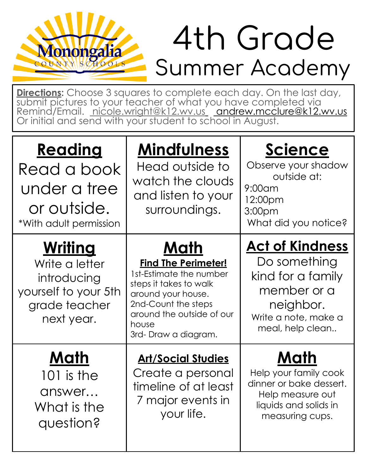## Summer Academy 4th Grade

**Directions:** Choose 3 squares to complete each day. On the last day, submit pictures to your teacher of what you have completed via Remind/Email. nicole.wright@k12.wv.us andrew.mcclure@k12.wv.us Or initial and send with your student to school in August.

Monongalia

| <u>Reading</u><br>Read a book<br>under a tree<br>or outside.<br>*With adult permission                 | <b>Mindfulness</b><br>Head outside to<br>watch the clouds<br>and listen to your<br>surroundings.                                                                                                  | Science<br>Observe your shadow<br>outside at:<br>$9:00$ am<br>12:00pm<br>3:00pm<br>What did you notice?                             |
|--------------------------------------------------------------------------------------------------------|---------------------------------------------------------------------------------------------------------------------------------------------------------------------------------------------------|-------------------------------------------------------------------------------------------------------------------------------------|
| <u>Writing</u><br>Write a letter<br>introducing<br>yourself to your 5th<br>grade teacher<br>next year. | Math<br><b>Find The Perimeter!</b><br>1st-Estimate the number<br>steps it takes to walk<br>around your house.<br>2nd-Count the steps<br>around the outside of our<br>house<br>3rd-Draw a diagram. | <b>Act of Kindness</b><br>Do something<br>kind for a family<br>member or a<br>neighbor.<br>Write a note, make a<br>meal, help clean |
| Math<br>101 is the<br>answer<br>What is the<br>question?                                               | <u><b>Art/Social Studies</b></u><br>Create a personal<br>timeline of at least<br>7 major events in<br>your life.                                                                                  | Math<br>Help your family cook<br>dinner or bake dessert.<br>Help measure out<br>liquids and solids in<br>measuring cups.            |